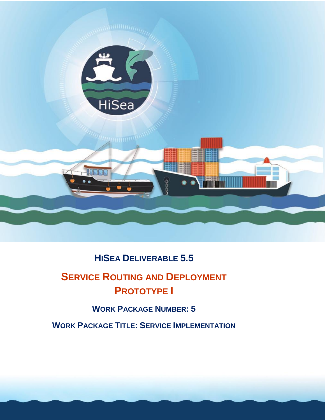

# **HISEA DELIVERABLE 5.5**

# **SERVICE ROUTING AND DEPLOYMENT PROTOTYPE I**

# **WORK PACKAGE NUMBER: 5**

**WORK PACKAGE TITLE: SERVICE IMPLEMENTATION**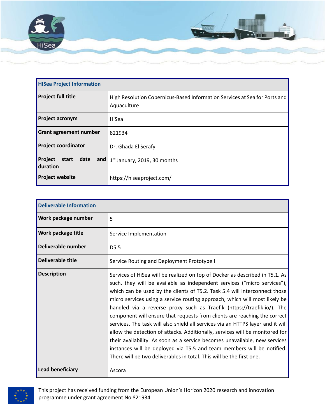

| <b>HISea Project Information</b>  |                                                                                           |
|-----------------------------------|-------------------------------------------------------------------------------------------|
| <b>Project full title</b>         | High Resolution Copernicus-Based Information Services at Sea for Ports and<br>Aquaculture |
| <b>Project acronym</b>            | HiSea                                                                                     |
| <b>Grant agreement number</b>     | 821934                                                                                    |
| <b>Project coordinator</b>        | Dr. Ghada El Serafy                                                                       |
| Project<br>start date<br>duration | and $1st$ January, 2019, 30 months                                                        |
| <b>Project website</b>            | https://hiseaproject.com/                                                                 |

| <b>Deliverable Information</b> |                                                                                                                                                                                                                                                                                                                                                                                                                                                                                                                                                                                                                                                                                                                                                                                                                                                                                |  |  |
|--------------------------------|--------------------------------------------------------------------------------------------------------------------------------------------------------------------------------------------------------------------------------------------------------------------------------------------------------------------------------------------------------------------------------------------------------------------------------------------------------------------------------------------------------------------------------------------------------------------------------------------------------------------------------------------------------------------------------------------------------------------------------------------------------------------------------------------------------------------------------------------------------------------------------|--|--|
| Work package number            | 5                                                                                                                                                                                                                                                                                                                                                                                                                                                                                                                                                                                                                                                                                                                                                                                                                                                                              |  |  |
| Work package title             | Service Implementation                                                                                                                                                                                                                                                                                                                                                                                                                                                                                                                                                                                                                                                                                                                                                                                                                                                         |  |  |
| Deliverable number             | D <sub>5.5</sub>                                                                                                                                                                                                                                                                                                                                                                                                                                                                                                                                                                                                                                                                                                                                                                                                                                                               |  |  |
| Deliverable title              | Service Routing and Deployment Prototype I                                                                                                                                                                                                                                                                                                                                                                                                                                                                                                                                                                                                                                                                                                                                                                                                                                     |  |  |
| <b>Description</b>             | Services of HiSea will be realized on top of Docker as described in T5.1. As<br>such, they will be available as independent services ("micro services"),<br>which can be used by the clients of T5.2. Task 5.4 will interconnect those<br>micro services using a service routing approach, which will most likely be<br>handled via a reverse proxy such as Traefik (https://traefik.io/). The<br>component will ensure that requests from clients are reaching the correct<br>services. The task will also shield all services via an HTTPS layer and it will<br>allow the detection of attacks. Additionally, services will be monitored for<br>their availability. As soon as a service becomes unavailable, new services<br>instances will be deployed via T5.5 and team members will be notified.<br>There will be two deliverables in total. This will be the first one. |  |  |
| <b>Lead beneficiary</b>        | Ascora                                                                                                                                                                                                                                                                                                                                                                                                                                                                                                                                                                                                                                                                                                                                                                                                                                                                         |  |  |



This project has received funding from the European Union's Horizon 2020 research and innovation programme under grant agreement No 821934 2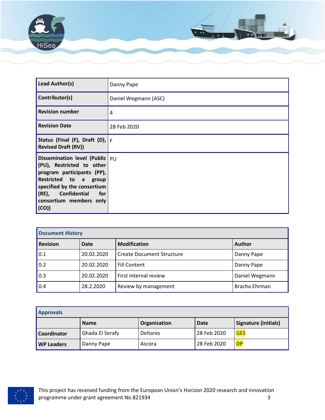

| Lead Author(s)                                                                                                                                                                                                              | Danny Pape           |
|-----------------------------------------------------------------------------------------------------------------------------------------------------------------------------------------------------------------------------|----------------------|
| Contributor(s)                                                                                                                                                                                                              | Daniel Wegmann (ASC) |
| <b>Revision number</b>                                                                                                                                                                                                      | 4                    |
| <b>Revision Date</b>                                                                                                                                                                                                        | 28 Feb 2020          |
| Status (Final (F), Draft (D), $ F $<br><b>Revised Draft (RV))</b>                                                                                                                                                           |                      |
| Dissemination level (Public $ $ PU<br>(PU), Restricted to other<br>program participants (PP),<br>Restricted to a group<br>specified by the consortium<br>$(RE)$ ,<br>Confidential<br>for<br>consortium members only<br>(CO) |                      |

| <b>Document History</b> |               |                                  |                |  |  |
|-------------------------|---------------|----------------------------------|----------------|--|--|
| Revision                | <b>Author</b> |                                  |                |  |  |
| 0.1                     | 20.02.2020    | <b>Create Document Structure</b> | Danny Pape     |  |  |
| 0.2                     | 20.02.2020    | <b>Fill Content</b>              | Danny Pape     |  |  |
| 0.3                     | 20.02.2020    | First internal review            | Daniel Wegmann |  |  |
| 0.4                     | 28.2.2020     | Review by management             | Bracha Ehrman  |  |  |

| <b>Approvals</b>  |                 |                 |             |                      |  |
|-------------------|-----------------|-----------------|-------------|----------------------|--|
|                   | <b>Name</b>     | Organisation    | <b>Date</b> | Signature (initials) |  |
| Coordinator       | Ghada El Serafy | <b>Deltares</b> | 28 Feb 2020 | <b>GES</b>           |  |
| <b>WP Leaders</b> | Danny Pape      | Ascora          | 28 Feb 2020 | <b>DP</b>            |  |

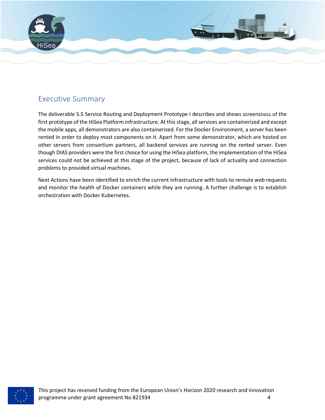

## Executive Summary

The deliverable 5.5 Service Routing and Deployment Prototype I describes and shows screenshots of the first prototype of the HiSea Platform infrastructure. At this stage, all services are containerized and except the mobile apps, all demonstrators are also containerized. For the Docker Environment, a server has been rented in order to deploy most components on it. Apart from some demonstrator, which are hosted on other servers from consortium partners, all backend services are running on the rented server. Even though DIAS providers were the first choice for using the HiSea platform, the implementation of the HiSea services could not be achieved at this stage of the project, because of lack of actuality and connection problems to provided virtual machines.

Next Actions have been identified to enrich the current infrastructure with tools to reroute web requests and monitor the health of Docker containers while they are running. A further challenge is to establish orchestration with Docker Kubernetes.

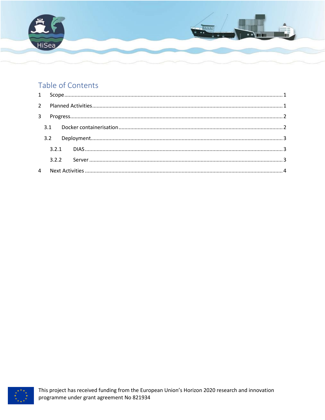

# Table of Contents

| 4 |  |  |
|---|--|--|

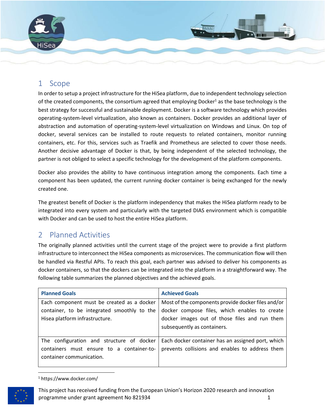

## <span id="page-5-0"></span>1 Scope

In order to setup a project infrastructure for the HiSea platform, due to independent technology selection of the created components, the consortium agreed that employing Docker<sup>1</sup> as the base technology is the best strategy for successful and sustainable deployment. Docker is a software technology which provides operating-system-level virtualization, also known as containers. Docker provides an additional layer of abstraction and automation of operating-system-level virtualization on Windows and Linux. On top of docker, several services can be installed to route requests to related containers, monitor running containers, etc. For this, services such as Traefik and Prometheus are selected to cover those needs. Another decisive advantage of Docker is that, by being independent of the selected technology, the partner is not obliged to select a specific technology for the development of the platform components.

Docker also provides the ability to have continuous integration among the components. Each time a component has been updated, the current running docker container is being exchanged for the newly created one.

The greatest benefit of Docker is the platform independency that makes the HiSea platform ready to be integrated into every system and particularly with the targeted DIAS environment which is compatible with Docker and can be used to host the entire HiSea platform.

# <span id="page-5-1"></span>2 Planned Activities

The originally planned activities until the current stage of the project were to provide a first platform infrastructure to interconnect the HiSea components as microservices. The communication flow will then be handled via Restful APIs. To reach this goal, each partner was advised to deliver his components as docker containers, so that the dockers can be integrated into the platform in a straightforward way. The following table summarizes the planned objectives and the achieved goals.

| <b>Planned Goals</b>                                                                                               | <b>Achieved Goals</b>                                                                                                         |
|--------------------------------------------------------------------------------------------------------------------|-------------------------------------------------------------------------------------------------------------------------------|
| Each component must be created as a docker                                                                         | Most of the components provide docker files and/or                                                                            |
| container, to be integrated smoothly to the<br>Hisea platform infrastructure.                                      | docker compose files, which enables to create<br>docker images out of those files and run them<br>subsequently as containers. |
| The configuration and structure of docker<br>containers must ensure to a container-to-<br>container communication. | Each docker container has an assigned port, which<br>prevents collisions and enables to address them                          |

<sup>1</sup> https://www.docker.com/



 $\overline{\phantom{a}}$ 

This project has received funding from the European Union's Horizon 2020 research and innovation programme under grant agreement No 821934 1 and 1 and 1 and 1 and 1 and 1 and 1 and 1 and 1 and 1 and 1 and 1 and 1 and 1 and 1 and 1 and 1 and 1 and 1 and 1 and 1 and 1 and 1 and 1 and 1 and 1 and 1 and 1 and 1 and 1 and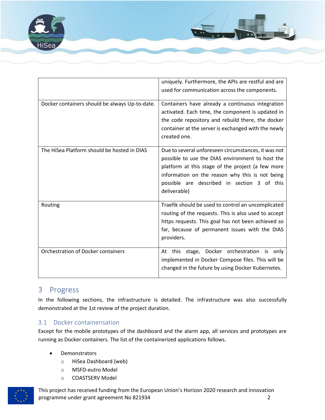

|                                                | uniquely. Furthermore, the APIs are restful and are<br>used for communication across the components.                                                                                                                                                                           |
|------------------------------------------------|--------------------------------------------------------------------------------------------------------------------------------------------------------------------------------------------------------------------------------------------------------------------------------|
| Docker containers should be always Up-to-date. | Containers have already a continuous integration<br>activated. Each time, the component is updated in<br>the code repository and rebuild there, the docker<br>container at the server is exchanged with the newly<br>created one.                                              |
| The HiSea Platform should be hosted in DIAS    | Due to several unforeseen circumstances, it was not<br>possible to use the DIAS environment to host the<br>platform at this stage of the project (a few more<br>information on the reason why this is not being<br>possible are described in section 3 of this<br>deliverable) |
| Routing                                        | Traefik should be used to control an uncomplicated<br>routing of the requests. This is also used to accept<br>https requests. This goal has not been achieved so<br>far, because of permanent issues with the DIAS<br>providers.                                               |
| Orchestration of Docker containers             | this stage, Docker orchestration is only<br>At<br>implemented in Docker Compose files. This will be<br>changed in the future by using Docker Kubernetes.                                                                                                                       |

## <span id="page-6-0"></span>3 Progress

In the following sections, the infrastructure is detailed. The infrastructure was also successfully demonstrated at the 1st review of the project duration.

### <span id="page-6-1"></span>3.1 Docker containerisation

Except for the mobile prototypes of the dashboard and the alarm app, all services and prototypes are running as Docker containers. The list of the containerized applications follows.

- **Demonstrators** 
	- o HiSea Dashboard (web)
	- o MSFD-eutro Model
	- o COASTSERV Model



This project has received funding from the European Union's Horizon 2020 research and innovation programme under grant agreement No 821934 2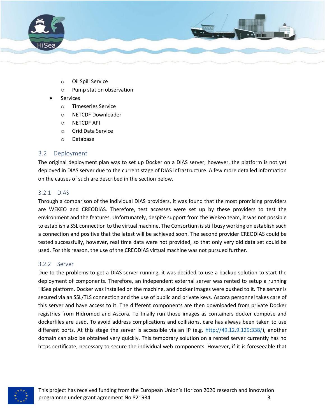

- o Oil Spill Service
- o Pump station observation
- **Services** 
	- o Timeseries Service
	- o NETCDF Downloader
	- o NETCDF API
	- o Grid Data Service
	- o Database

### <span id="page-7-0"></span>3.2 Deployment

The original deployment plan was to set up Docker on a DIAS server, however, the platform is not yet deployed in DIAS server due to the current stage of DIAS infrastructure. A few more detailed information on the causes of such are described in the section below.

### <span id="page-7-1"></span>3.2.1 DIAS

Through a comparison of the individual DIAS providers, it was found that the most promising providers are WEKEO and CREODIAS. Therefore, test accesses were set up by these providers to test the environment and the features. Unfortunately, despite support from the Wekeo team, it was not possible to establish a SSL connection to the virtual machine. The Consortium is still busy working on establish such a connection and positive that the latest will be achieved soon. The second provider CREODIAS could be tested successfully, however, real time data were not provided, so that only very old data set could be used. For this reason, the use of the CREODIAS virtual machine was not pursued further.

### <span id="page-7-2"></span>3.2.2 Server

Due to the problems to get a DIAS server running, it was decided to use a backup solution to start the deployment of components. Therefore, an independent external server was rented to setup a running HiSea platform. Docker was installed on the machine, and docker images were pushed to it. The server is secured via an SSL/TLS connection and the use of public and private keys. Ascora personnel takes care of this server and have access to it. The different components are then downloaded from private Docker registries from Hidromod and Ascora. To finally run those images as containers docker compose and dockerfiles are used. To avoid address complications and collisions, care has always been taken to use different ports. At this stage the server is accessible via an IP (e.g. [http://49.12.9.129:338/\)](http://49.12.9.129:338/), another domain can also be obtained very quickly. This temporary solution on a rented server currently has no https certificate, necessary to secure the individual web components. However, if it is foreseeable that

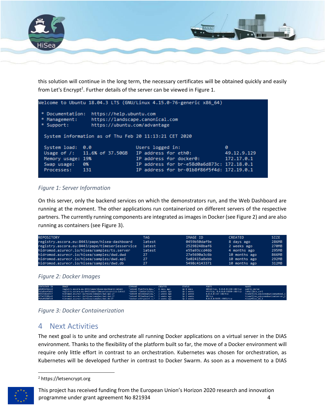

this solution will continue in the long term, the necessary certificates will be obtained quickly and easily from Let's Encrypt<sup>2</sup>. Further details of the server can be viewed in [Figure 1.](#page-8-1)

|                                                                                                                                               |                                                       | Welcome to Ubuntu 18.04.3 LTS (GNU/Linux 4.15.0-76-generic x86_64) |             |  |  |  |
|-----------------------------------------------------------------------------------------------------------------------------------------------|-------------------------------------------------------|--------------------------------------------------------------------|-------------|--|--|--|
| * Documentation:<br>https://help.ubuntu.com<br>https://landscape.canonical.com<br>* Management:<br>* Support:<br>https://ubuntu.com/advantage |                                                       |                                                                    |             |  |  |  |
|                                                                                                                                               | System information as of Thu Feb 20 11:13:21 CET 2020 |                                                                    |             |  |  |  |
| System load: 0.0                                                                                                                              |                                                       | Users logged in:                                                   | ø           |  |  |  |
|                                                                                                                                               | Usage of /: 11.6% of 37.50GB                          | IP address for eth0:                                               | 49.12.9.129 |  |  |  |
| Memory usage: 19%                                                                                                                             |                                                       | IP address for docker0:                                            | 172.17.0.1  |  |  |  |
| Swap usage:                                                                                                                                   | <b>0%</b>                                             | IP address for br-e58d0a6d873c: 172.18.0.1                         |             |  |  |  |
| Processes:                                                                                                                                    | 131                                                   | IP address for br-01b8f86f5f4d: 172.19.0.1                         |             |  |  |  |

### <span id="page-8-1"></span>*Figure 1: Server Information*

On this server, only the backend services on which the demonstrators run, and the Web Dashboard are running at the moment. The other applications run containerized on different servers of the respective partners. The currently running components are integrated as images in Docker (see Figure 2) and are also running as containers (see Figure 3).

| REPOSITORY                                     | TAG    | IMAGE ID     | <b>CREATED</b> | <b>STZE</b> |
|------------------------------------------------|--------|--------------|----------------|-------------|
| registry.ascora.eu:8443/pape/hisea-dashboard   | latest | 0459b50daf9e | 8 days ago     | 286MB       |
| registry.ascora.eu:8443/pape/timeseriesservice | latest | 25298248baf6 | 2 weeks ago    | 270MB       |
| hidromod.azurecr.io/hisea/samples/ts.server    | latest | e55a93ccd46b | 4 months ago   | 295MB       |
| hidromod.azurecr.io/hisea/samples/dwd.dwd      | 27     | 27e5690a3c6b | 10 months ago  | 866MB       |
| hidromod.azurecr.io/hisea/samples/dwd.api      | 27     | 5e02415a8ebb | 10 months ago  | 292MB       |
| hidromod.azurecr.io/hisea/samples/dwd.db       | 27     | 5498c4143371 | 10 months ago  | 312MB       |



| <b>CONTAINER ID</b> | <b>IMAGE</b>                                          | <b>COMMAND</b>                    | <b>CREATED</b> | <b>STATUS</b> | <b>PORTS</b>                                   | <b>NAMES</b>                       |
|---------------------|-------------------------------------------------------|-----------------------------------|----------------|---------------|------------------------------------------------|------------------------------------|
| a9d03b462c23        | registry.ascora.eu:8443/pape/hisea-dashboard:latest   | "dotnet Platform Das" 8 days ago  |                | Up 8 days     | 60419/tcp, 0.0.0.0:338->80/tcp auirky morse    |                                    |
| 5d1a5ee43eb2        | registry.ascora.eu:8443/pape/timeseriesservice:latest | "dotnet TimeSeriesSe" 2 weeks ago |                | Up 2 weeks    | 443/tcp, 0.0.0.0:53850->80/tcp infallible cori |                                    |
| 0992586edfc7        | hidromod.azurecr.io/hisea/samples/dwd.api:27          | "dotnet HiSeaDownloa" 2 weeks ago |                | Up 2 weeks    | 0.0.0.0:337->80/tcp                            | hiseafiles odvsseadownloadwebapi 1 |
| 673e33189ce5        | hidromod.azurecr.io/hisea/samples/dwd.dwd:27          | "dotnet HiSeaDownloa" 2 weeks ago |                | Up 2 weeks    | 80/tcp                                         | hiseafiles_odysseadownloadserver_1 |
| f14efd3867d3        | hidromod.azurecr.io/hisea/samples/dwd.db:27           | "docker-entrypoint.s" 2 weeks ago |                | Up 2 weeks    | 0.0.0.0:5435->5432/tcp                         | hiseafiles db 1                    |

*Figure 3: Docker Containerization*

## <span id="page-8-0"></span>4 Next Activities

The next goal is to unite and orchestrate all running Docker applications on a virtual server in the DIAS environment. Thanks to the flexibility of the platform built so far, the move of a Docker environment will require only little effort in contrast to an orchestration. Kubernetes was chosen for orchestration, as Kubernetes will be developed further in contrast to Docker Swarm. As soon as a movement to a DIAS

<sup>2</sup> https://letsencrypt.org



 $\overline{\phantom{a}}$ 

This project has received funding from the European Union's Horizon 2020 research and innovation programme under grant agreement No 821934 4